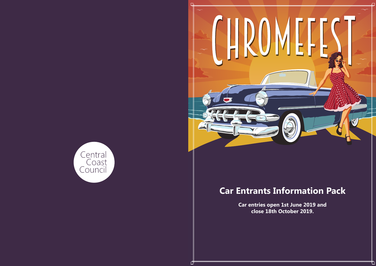



# **Car Entrants Information Pack**

**Car entries open 1st June 2019 and close 18th October 2019.**